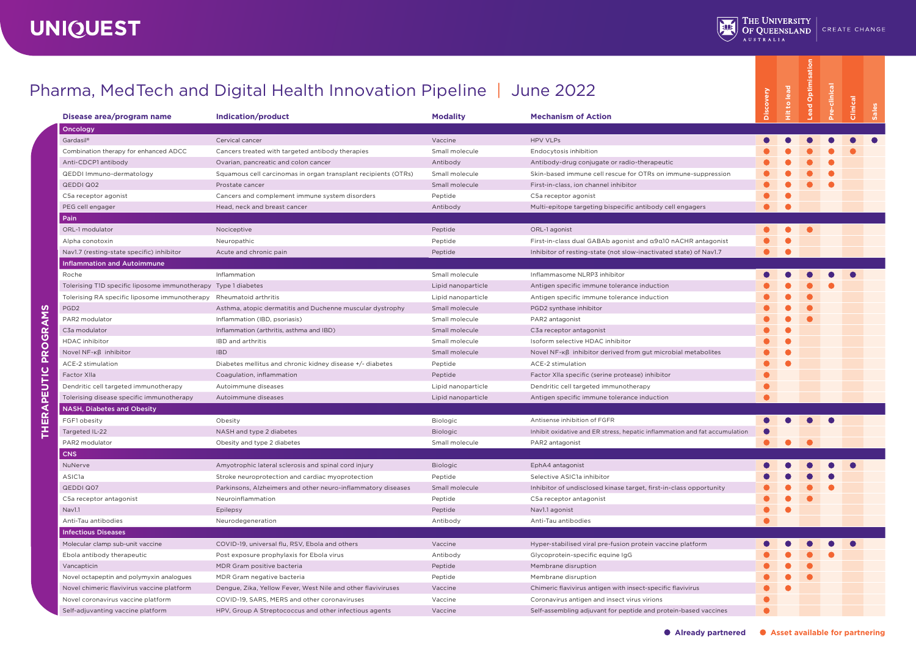| Disease area/program name                                      | harma, Med Tech and Digital Health Innovation Pipeline   June 2022<br>Indication/product | <b>Modality</b>    | <b>Mechanism of Action</b>                                                 | Discovery      | <b>Hit to lead</b> | Optim<br>.ead | a-clinical | Clinical |
|----------------------------------------------------------------|------------------------------------------------------------------------------------------|--------------------|----------------------------------------------------------------------------|----------------|--------------------|---------------|------------|----------|
| Oncology                                                       |                                                                                          |                    |                                                                            |                |                    |               |            |          |
| Gardasil®                                                      | Cervical cancer                                                                          | Vaccine            | <b>HPV VLPs</b>                                                            |                |                    |               |            |          |
| Combination therapy for enhanced ADCC                          | Cancers treated with targeted antibody therapies                                         | Small molecule     | Endocytosis inhibition                                                     |                |                    |               |            |          |
| Anti-CDCP1 antibody                                            | Ovarian, pancreatic and colon cancer                                                     | Antibody           | Antibody-drug conjugate or radio-therapeutic                               |                |                    |               |            |          |
| QEDDI Immuno-dermatology                                       | Squamous cell carcinomas in organ transplant recipients (OTRs)                           | Small molecule     | Skin-based immune cell rescue for OTRs on immune-suppression               |                |                    |               |            |          |
| <b>QEDDI Q02</b>                                               | Prostate cancer                                                                          | Small molecule     | First-in-class, ion channel inhibitor                                      |                |                    |               |            |          |
| C5a receptor agonist                                           | Cancers and complement immune system disorders                                           | Peptide            | C5a receptor agonist                                                       |                |                    |               |            |          |
| PEG cell engager                                               | Head, neck and breast cancer                                                             | Antibody           | Multi-epitope targeting bispecific antibody cell engagers                  | ●              |                    |               |            |          |
| Pain                                                           |                                                                                          |                    |                                                                            |                |                    |               |            |          |
| ORL-1 modulator                                                | Nociceptive                                                                              | Peptide            | ORL-1 agonist                                                              | $\blacksquare$ | $\bullet$          |               |            |          |
| Alpha conotoxin                                                | Neuropathic                                                                              | Peptide            | First-in-class dual GABAb agonist and a9a10 nACHR antagonist               |                |                    |               |            |          |
| Nav1.7 (resting-state specific) inhibitor                      | Acute and chronic pain                                                                   | Peptide            | Inhibitor of resting-state (not slow-inactivated state) of Nav1.7          |                | ●                  |               |            |          |
| <b>Inflammation and Autoimmune</b>                             |                                                                                          |                    |                                                                            |                |                    |               |            |          |
| Roche                                                          | Inflammation                                                                             | Small molecule     | Inflammasome NLRP3 inhibitor                                               |                |                    |               |            |          |
| Tolerising T1D specific liposome immunotherapy Type 1 diabetes |                                                                                          | Lipid nanoparticle | Antigen specific immune tolerance induction                                |                |                    |               |            |          |
| Tolerising RA specific liposome immunotherapy                  | Rheumatoid arthritis                                                                     | Lipid nanoparticle | Antigen specific immune tolerance induction                                |                |                    |               |            |          |
| PGD <sub>2</sub>                                               | Asthma, atopic dermatitis and Duchenne muscular dystrophy                                | Small molecule     | PGD2 synthase inhibitor                                                    |                |                    |               |            |          |
| PAR2 modulator                                                 | Inflammation (IBD, psoriasis)                                                            | Small molecule     | PAR2 antagonist                                                            |                |                    |               |            |          |
| C3a modulator                                                  | Inflammation (arthritis, asthma and IBD)                                                 | Small molecule     | C3a receptor antagonist                                                    |                |                    |               |            |          |
| <b>HDAC</b> inhibitor                                          | IBD and arthritis                                                                        | Small molecule     | Isoform selective HDAC inhibitor                                           |                |                    |               |            |          |
| Novel NF-Kß inhibitor                                          | <b>IBD</b>                                                                               | Small molecule     | Novel NF-Kß inhibitor derived from gut microbial metabolites               |                |                    |               |            |          |
| ACE-2 stimulation                                              | Diabetes mellitus and chronic kidney disease +/- diabetes                                | Peptide            | ACE-2 stimulation                                                          |                |                    |               |            |          |
| Factor XIIa                                                    | Coagulation, inflammation                                                                | Peptide            | Factor XIIa specific (serine protease) inhibitor                           |                |                    |               |            |          |
| Dendritic cell targeted immunotherapy                          | Autoimmune diseases                                                                      | Lipid nanoparticle | Dendritic cell targeted immunotherapy                                      |                |                    |               |            |          |
| Tolerising disease specific immunotherapy                      | Autoimmune diseases                                                                      | Lipid nanoparticle | Antigen specific immune tolerance induction                                |                |                    |               |            |          |
| <b>NASH, Diabetes and Obesity</b>                              |                                                                                          |                    |                                                                            |                |                    |               |            |          |
| FGF1 obesity                                                   | Obesity                                                                                  | Biologic           | Antisense inhibition of FGFR                                               |                |                    | $\bullet$     | $\bullet$  |          |
| Targeted IL-22                                                 | NASH and type 2 diabetes                                                                 | Biologic           | Inhibit oxidative and ER stress, hepatic inflammation and fat accumulation |                |                    |               |            |          |
| PAR2 modulator                                                 | Obesity and type 2 diabetes                                                              | Small molecule     | PAR2 antagonist                                                            |                |                    |               |            |          |
| <b>CNS</b>                                                     |                                                                                          |                    |                                                                            |                |                    |               |            |          |
|                                                                |                                                                                          |                    |                                                                            |                |                    |               |            |          |
| NuNerve                                                        | Amyotrophic lateral sclerosis and spinal cord injury                                     | Biologic           | EphA4 antagonist                                                           |                |                    |               |            |          |
| ASIC <sub>1</sub> a                                            | Stroke neuroprotection and cardiac myoprotection                                         | Peptide            | Selective ASIC1a inhibitor                                                 |                |                    |               |            |          |
| QEDDI Q07                                                      | Parkinsons, Alzheimers and other neuro-inflammatory diseases                             | Small molecule     | Inhibitor of undisclosed kinase target, first-in-class opportunity         |                |                    |               |            |          |
| C5a receptor antagonist                                        | Neuroinflammation                                                                        | Peptide            | C5a receptor antagonist                                                    |                |                    |               |            |          |
| Nav1.1                                                         | Epilepsy                                                                                 | Peptide            | Nav1.1 agonist                                                             |                |                    |               |            |          |
| Anti-Tau antibodies                                            | Neurodegeneration                                                                        | Antibody           | Anti-Tau antibodies                                                        |                |                    |               |            |          |
| <b>Infectious Diseases</b>                                     |                                                                                          |                    |                                                                            |                |                    |               |            |          |
| Molecular clamp sub-unit vaccine                               | COVID-19, universal flu, RSV, Ebola and others                                           | Vaccine            | Hyper-stabilised viral pre-fusion protein vaccine platform                 |                |                    |               |            |          |
| Ebola antibody therapeutic                                     | Post exposure prophylaxis for Ebola virus                                                | Antibody           | Glycoprotein-specific equine IgG                                           |                |                    |               |            |          |
| Vancapticin                                                    | MDR Gram positive bacteria                                                               | Peptide            | Membrane disruption                                                        |                |                    |               |            |          |
| Novel octapeptin and polymyxin analogues                       | MDR Gram negative bacteria                                                               | Peptide            | Membrane disruption                                                        |                |                    |               |            |          |
| Novel chimeric flavivirus vaccine platform                     | Dengue, Zika, Yellow Fever, West Nile and other flaviviruses                             | Vaccine            | Chimeric flavivirus antigen with insect-specific flavivirus                |                |                    |               |            |          |
| Novel coronavirus vaccine platform                             | COVID-19, SARS, MERS and other coronaviruses                                             | Vaccine            | Coronavirus antigen and insect virus virions                               |                |                    |               |            |          |
| Self-adjuvanting vaccine platform                              | HPV. Group A Streptococcus and other infectious agents                                   | Vaccine            | Self-assembling adjuvant for peptide and protein-based vaccines            |                |                    |               |            |          |

## Pharma, MedTech and Digital Health Innovation Pipeline | June 2022